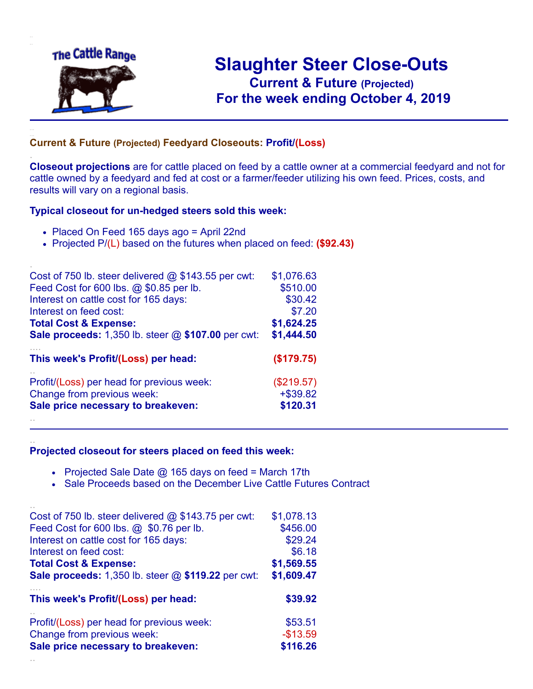

.

..

## **Slaughter Steer Close-Outs Current & Future (Projected)** .**For the week ending October 4, 2019**

## **Current & Future (Projected) Feedyard Closeouts: Profit/(Loss)**

**Closeout projections** are for cattle placed on feed by a cattle owner at a commercial feedyard and not for cattle owned by a feedyard and fed at cost or a farmer/feeder utilizing his own feed. Prices, costs, and results will vary on a regional basis.

## **Typical closeout for un-hedged steers sold this week:**

- Placed On Feed 165 days ago = April 22nd
- Projected P/(L) based on the futures when placed on feed: **(\$92.43)**

| Cost of 750 lb. steer delivered $@$ \$143.55 per cwt:     | \$1,076.63   |
|-----------------------------------------------------------|--------------|
| Feed Cost for 600 lbs. @ \$0.85 per lb.                   | \$510.00     |
| Interest on cattle cost for 165 days:                     | \$30.42      |
| Interest on feed cost:                                    | \$7.20       |
| <b>Total Cost &amp; Expense:</b>                          | \$1,624.25   |
| <b>Sale proceeds:</b> 1,350 lb. steer @ \$107.00 per cwt: | \$1,444.50   |
| This week's Profit/(Loss) per head:                       | (\$179.75)   |
| Profit/(Loss) per head for previous week:                 | $(\$219.57)$ |
| Change from previous week:                                | $+$ \$39.82  |
| Sale price necessary to breakeven:                        | \$120.31     |
|                                                           |              |

## **Projected closeout for steers placed on feed this week:**

- Projected Sale Date  $@$  165 days on feed = March 17th
- Sale Proceeds based on the December Live Cattle Futures Contract

| Cost of 750 lb. steer delivered $@$ \$143.75 per cwt: | \$1,078.13 |
|-------------------------------------------------------|------------|
| Feed Cost for 600 lbs. @ \$0.76 per lb.               | \$456.00   |
| Interest on cattle cost for 165 days:                 | \$29.24    |
| Interest on feed cost:                                | \$6.18     |
| <b>Total Cost &amp; Expense:</b>                      | \$1,569.55 |
| Sale proceeds: 1,350 lb. steer @ \$119.22 per cwt:    | \$1,609.47 |
| This week's Profit/(Loss) per head:                   | \$39.92    |
| Profit/(Loss) per head for previous week:             | \$53.51    |
| Change from previous week:                            | $-$13.59$  |
| Sale price necessary to breakeven:                    | \$116.26   |
|                                                       |            |